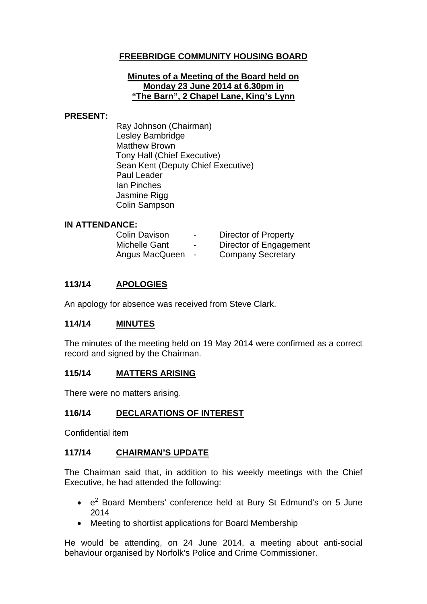# **FREEBRIDGE COMMUNITY HOUSING BOARD**

#### **Minutes of a Meeting of the Board held on Monday 23 June 2014 at 6.30pm in "The Barn", 2 Chapel Lane, King's Lynn**

#### **PRESENT:**

Ray Johnson (Chairman) Lesley Bambridge Matthew Brown Tony Hall (Chief Executive) Sean Kent (Deputy Chief Executive) Paul Leader Ian Pinches Jasmine Rigg Colin Sampson

### **IN ATTENDANCE:**

| <b>Colin Davison</b> | -                        | Director of Property     |
|----------------------|--------------------------|--------------------------|
| <b>Michelle Gant</b> | $\overline{\phantom{0}}$ | Director of Engagement   |
| Angus MacQueen       | $\blacksquare$           | <b>Company Secretary</b> |

### **113/14 APOLOGIES**

An apology for absence was received from Steve Clark.

#### **114/14 MINUTES**

The minutes of the meeting held on 19 May 2014 were confirmed as a correct record and signed by the Chairman.

### **115/14 MATTERS ARISING**

There were no matters arising.

### **116/14 DECLARATIONS OF INTEREST**

Confidential item

### **117/14 CHAIRMAN'S UPDATE**

The Chairman said that, in addition to his weekly meetings with the Chief Executive, he had attended the following:

- $\cdot$   $e^2$  Board Members' conference held at Bury St Edmund's on 5 June 2014
- Meeting to shortlist applications for Board Membership

He would be attending, on 24 June 2014, a meeting about anti-social behaviour organised by Norfolk's Police and Crime Commissioner.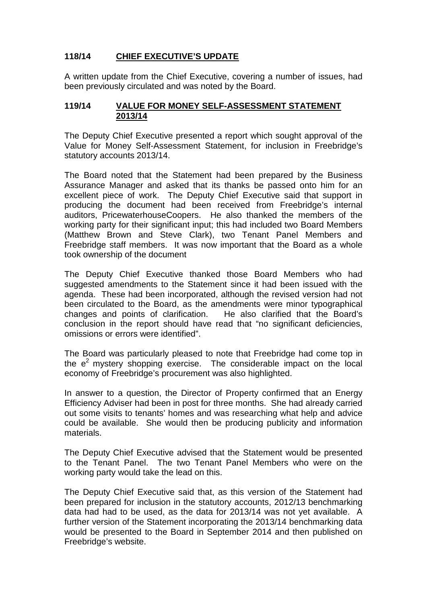# **118/14 CHIEF EXECUTIVE'S UPDATE**

A written update from the Chief Executive, covering a number of issues, had been previously circulated and was noted by the Board.

### **119/14 VALUE FOR MONEY SELF-ASSESSMENT STATEMENT 2013/14**

The Deputy Chief Executive presented a report which sought approval of the Value for Money Self-Assessment Statement, for inclusion in Freebridge's statutory accounts 2013/14.

The Board noted that the Statement had been prepared by the Business Assurance Manager and asked that its thanks be passed onto him for an excellent piece of work. The Deputy Chief Executive said that support in producing the document had been received from Freebridge's internal auditors, PricewaterhouseCoopers. He also thanked the members of the working party for their significant input; this had included two Board Members (Matthew Brown and Steve Clark), two Tenant Panel Members and Freebridge staff members. It was now important that the Board as a whole took ownership of the document

The Deputy Chief Executive thanked those Board Members who had suggested amendments to the Statement since it had been issued with the agenda. These had been incorporated, although the revised version had not been circulated to the Board, as the amendments were minor typographical changes and points of clarification. He also clarified that the Board's conclusion in the report should have read that "no significant deficiencies, omissions or errors were identified".

The Board was particularly pleased to note that Freebridge had come top in the  $e<sup>2</sup>$  mystery shopping exercise. The considerable impact on the local economy of Freebridge's procurement was also highlighted.

In answer to a question, the Director of Property confirmed that an Energy Efficiency Adviser had been in post for three months. She had already carried out some visits to tenants' homes and was researching what help and advice could be available. She would then be producing publicity and information materials.

The Deputy Chief Executive advised that the Statement would be presented to the Tenant Panel. The two Tenant Panel Members who were on the working party would take the lead on this.

The Deputy Chief Executive said that, as this version of the Statement had been prepared for inclusion in the statutory accounts, 2012/13 benchmarking data had had to be used, as the data for 2013/14 was not yet available. A further version of the Statement incorporating the 2013/14 benchmarking data would be presented to the Board in September 2014 and then published on Freebridge's website.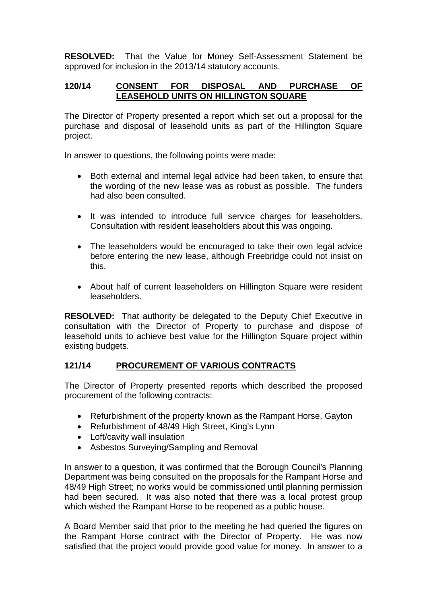**RESOLVED:** That the Value for Money Self-Assessment Statement be approved for inclusion in the 2013/14 statutory accounts.

### **120/14 CONSENT FOR DISPOSAL AND PURCHASE OF LEASEHOLD UNITS ON HILLINGTON SQUARE**

The Director of Property presented a report which set out a proposal for the purchase and disposal of leasehold units as part of the Hillington Square project.

In answer to questions, the following points were made:

- Both external and internal legal advice had been taken, to ensure that the wording of the new lease was as robust as possible. The funders had also been consulted.
- It was intended to introduce full service charges for leaseholders. Consultation with resident leaseholders about this was ongoing.
- The leaseholders would be encouraged to take their own legal advice before entering the new lease, although Freebridge could not insist on this.
- About half of current leaseholders on Hillington Square were resident leaseholders.

**RESOLVED:** That authority be delegated to the Deputy Chief Executive in consultation with the Director of Property to purchase and dispose of leasehold units to achieve best value for the Hillington Square project within existing budgets.

# **121/14 PROCUREMENT OF VARIOUS CONTRACTS**

The Director of Property presented reports which described the proposed procurement of the following contracts:

- Refurbishment of the property known as the Rampant Horse, Gayton
- Refurbishment of 48/49 High Street, King's Lynn
- Loft/cavity wall insulation
- Asbestos Surveying/Sampling and Removal

In answer to a question, it was confirmed that the Borough Council's Planning Department was being consulted on the proposals for the Rampant Horse and 48/49 High Street; no works would be commissioned until planning permission had been secured. It was also noted that there was a local protest group which wished the Rampant Horse to be reopened as a public house.

A Board Member said that prior to the meeting he had queried the figures on the Rampant Horse contract with the Director of Property. He was now satisfied that the project would provide good value for money. In answer to a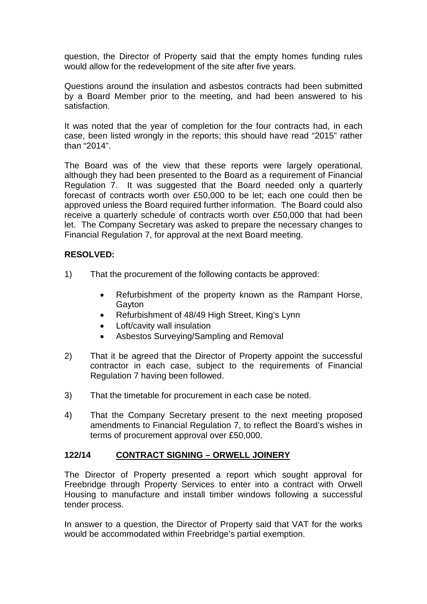question, the Director of Property said that the empty homes funding rules would allow for the redevelopment of the site after five years.

Questions around the insulation and asbestos contracts had been submitted by a Board Member prior to the meeting, and had been answered to his satisfaction.

It was noted that the year of completion for the four contracts had, in each case, been listed wrongly in the reports; this should have read "2015" rather than "2014".

The Board was of the view that these reports were largely operational, although they had been presented to the Board as a requirement of Financial Regulation 7. It was suggested that the Board needed only a quarterly forecast of contracts worth over £50,000 to be let; each one could then be approved unless the Board required further information. The Board could also receive a quarterly schedule of contracts worth over £50,000 that had been let. The Company Secretary was asked to prepare the necessary changes to Financial Regulation 7, for approval at the next Board meeting.

### **RESOLVED:**

- 1) That the procurement of the following contacts be approved:
	- Refurbishment of the property known as the Rampant Horse, Gayton
	- Refurbishment of 48/49 High Street, King's Lynn
	- Loft/cavity wall insulation
	- Asbestos Surveying/Sampling and Removal
- 2) That it be agreed that the Director of Property appoint the successful contractor in each case, subject to the requirements of Financial Regulation 7 having been followed.
- 3) That the timetable for procurement in each case be noted.
- 4) That the Company Secretary present to the next meeting proposed amendments to Financial Regulation 7, to reflect the Board's wishes in terms of procurement approval over £50,000.

### **122/14 CONTRACT SIGNING – ORWELL JOINERY**

The Director of Property presented a report which sought approval for Freebridge through Property Services to enter into a contract with Orwell Housing to manufacture and install timber windows following a successful tender process.

In answer to a question, the Director of Property said that VAT for the works would be accommodated within Freebridge's partial exemption.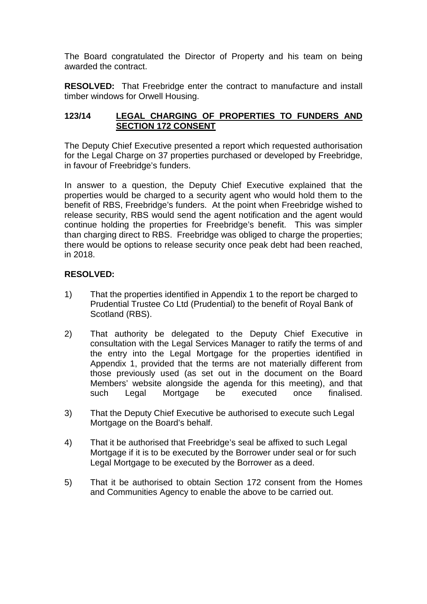The Board congratulated the Director of Property and his team on being awarded the contract.

**RESOLVED:** That Freebridge enter the contract to manufacture and install timber windows for Orwell Housing.

### **123/14 LEGAL CHARGING OF PROPERTIES TO FUNDERS AND SECTION 172 CONSENT**

The Deputy Chief Executive presented a report which requested authorisation for the Legal Charge on 37 properties purchased or developed by Freebridge, in favour of Freebridge's funders.

In answer to a question, the Deputy Chief Executive explained that the properties would be charged to a security agent who would hold them to the benefit of RBS, Freebridge's funders. At the point when Freebridge wished to release security, RBS would send the agent notification and the agent would continue holding the properties for Freebridge's benefit. This was simpler than charging direct to RBS. Freebridge was obliged to charge the properties; there would be options to release security once peak debt had been reached, in 2018.

# **RESOLVED:**

- 1) That the properties identified in Appendix 1 to the report be charged to Prudential Trustee Co Ltd (Prudential) to the benefit of Royal Bank of Scotland (RBS).
- 2) That authority be delegated to the Deputy Chief Executive in consultation with the Legal Services Manager to ratify the terms of and the entry into the Legal Mortgage for the properties identified in Appendix 1, provided that the terms are not materially different from those previously used (as set out in the document on the Board Members' website alongside the agenda for this meeting), and that such Legal Mortgage be executed once finalised.
- 3) That the Deputy Chief Executive be authorised to execute such Legal Mortgage on the Board's behalf.
- 4) That it be authorised that Freebridge's seal be affixed to such Legal Mortgage if it is to be executed by the Borrower under seal or for such Legal Mortgage to be executed by the Borrower as a deed.
- 5) That it be authorised to obtain Section 172 consent from the Homes and Communities Agency to enable the above to be carried out.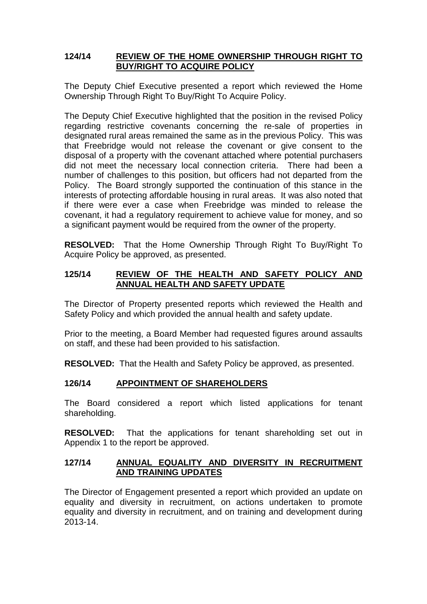### **124/14 REVIEW OF THE HOME OWNERSHIP THROUGH RIGHT TO BUY/RIGHT TO ACQUIRE POLICY**

The Deputy Chief Executive presented a report which reviewed the Home Ownership Through Right To Buy/Right To Acquire Policy.

The Deputy Chief Executive highlighted that the position in the revised Policy regarding restrictive covenants concerning the re-sale of properties in designated rural areas remained the same as in the previous Policy. This was that Freebridge would not release the covenant or give consent to the disposal of a property with the covenant attached where potential purchasers did not meet the necessary local connection criteria. There had been a number of challenges to this position, but officers had not departed from the Policy. The Board strongly supported the continuation of this stance in the interests of protecting affordable housing in rural areas. It was also noted that if there were ever a case when Freebridge was minded to release the covenant, it had a regulatory requirement to achieve value for money, and so a significant payment would be required from the owner of the property.

**RESOLVED:** That the Home Ownership Through Right To Buy/Right To Acquire Policy be approved, as presented.

### **125/14 REVIEW OF THE HEALTH AND SAFETY POLICY AND ANNUAL HEALTH AND SAFETY UPDATE**

The Director of Property presented reports which reviewed the Health and Safety Policy and which provided the annual health and safety update.

Prior to the meeting, a Board Member had requested figures around assaults on staff, and these had been provided to his satisfaction.

**RESOLVED:** That the Health and Safety Policy be approved, as presented.

# **126/14 APPOINTMENT OF SHAREHOLDERS**

The Board considered a report which listed applications for tenant shareholding.

**RESOLVED:** That the applications for tenant shareholding set out in Appendix 1 to the report be approved.

### **127/14 ANNUAL EQUALITY AND DIVERSITY IN RECRUITMENT AND TRAINING UPDATES**

The Director of Engagement presented a report which provided an update on equality and diversity in recruitment, on actions undertaken to promote equality and diversity in recruitment, and on training and development during 2013-14.